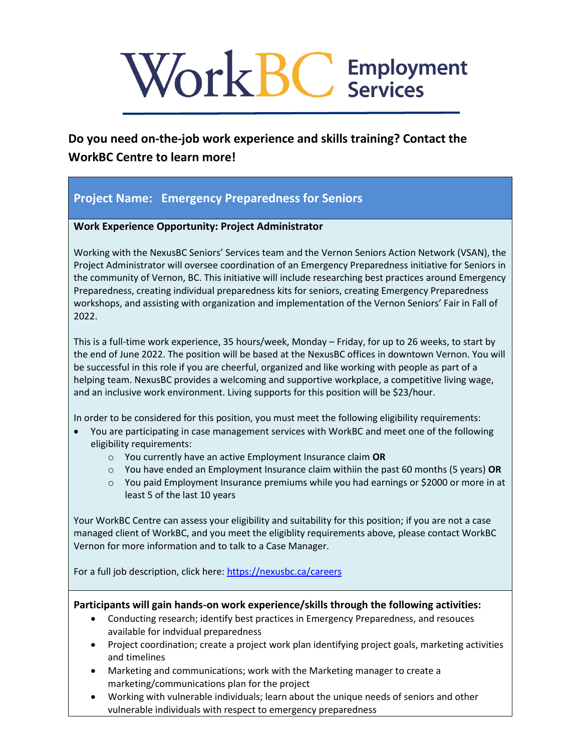# Work BC Employment

# **Do you need on-the-job work experience and skills training? Contact the WorkBC Centre to learn more!**

# **Project Name: Emergency Preparedness for Seniors**

## **Work Experience Opportunity: Project Administrator**

Working with the NexusBC Seniors' Services team and the Vernon Seniors Action Network (VSAN), the Project Administrator will oversee coordination of an Emergency Preparedness initiative for Seniors in the community of Vernon, BC. This initiative will include researching best practices around Emergency Preparedness, creating individual preparedness kits for seniors, creating Emergency Preparedness workshops, and assisting with organization and implementation of the Vernon Seniors' Fair in Fall of 2022.

This is a full-time work experience, 35 hours/week, Monday – Friday, for up to 26 weeks, to start by the end of June 2022. The position will be based at the NexusBC offices in downtown Vernon. You will be successful in this role if you are cheerful, organized and like working with people as part of a helping team. NexusBC provides a welcoming and supportive workplace, a competitive living wage, and an inclusive work environment. Living supports for this position will be \$23/hour.

In order to be considered for this position, you must meet the following eligibility requirements:

- You are participating in case management services with WorkBC and meet one of the following eligibility requirements:
	- o You currently have an active Employment Insurance claim **OR**
	- o You have ended an Employment Insurance claim withiin the past 60 months (5 years) **OR**
	- $\circ$  You paid Employment Insurance premiums while you had earnings or \$2000 or more in at least 5 of the last 10 years

Your WorkBC Centre can assess your eligibility and suitability for this position; if you are not a case managed client of WorkBC, and you meet the eligiblity requirements above, please contact WorkBC Vernon for more information and to talk to a Case Manager.

For a full job description, click here:<https://nexusbc.ca/careers>

### **Participants will gain hands-on work experience/skills through the following activities:**

- Conducting research; identify best practices in Emergency Preparedness, and resouces available for indvidual preparedness
- Project coordination; create a project work plan identifying project goals, marketing activities and timelines
- Marketing and communications; work with the Marketing manager to create a marketing/communications plan for the project
- Working with vulnerable individuals; learn about the unique needs of seniors and other vulnerable individuals with respect to emergency preparedness